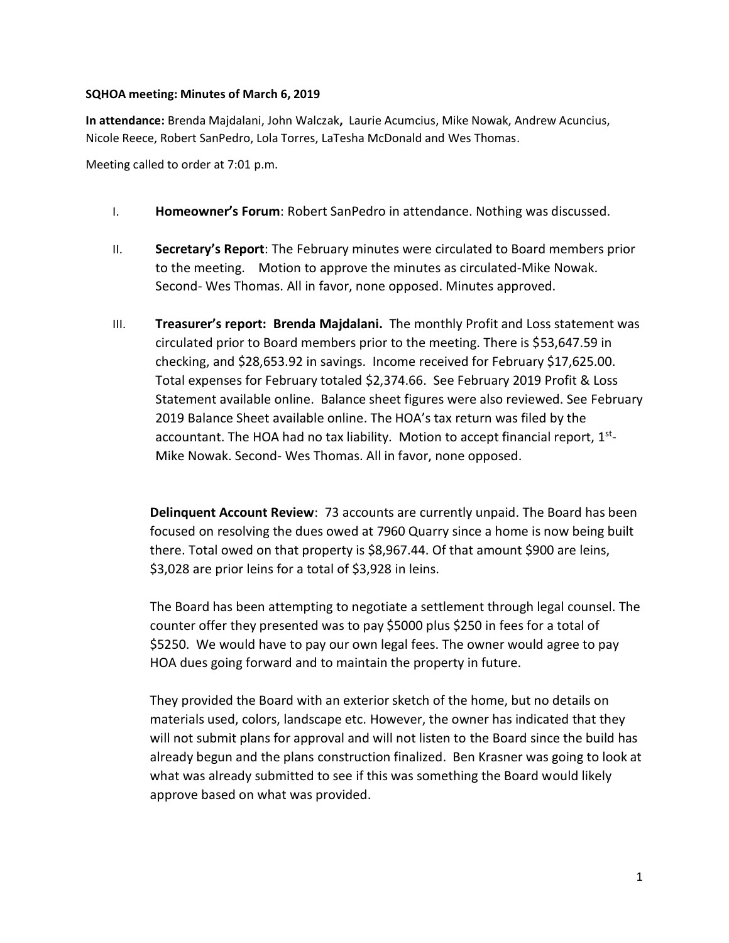## **SQHOA meeting: Minutes of March 6, 2019**

**In attendance:** Brenda Majdalani, John Walczak**,** Laurie Acumcius, Mike Nowak, Andrew Acuncius, Nicole Reece, Robert SanPedro, Lola Torres, LaTesha McDonald and Wes Thomas.

Meeting called to order at 7:01 p.m.

- I. **Homeowner's Forum**: Robert SanPedro in attendance. Nothing was discussed.
- II. **Secretary's Report**: The February minutes were circulated to Board members prior to the meeting. Motion to approve the minutes as circulated-Mike Nowak. Second- Wes Thomas. All in favor, none opposed. Minutes approved.
- III. **Treasurer's report: Brenda Majdalani.** The monthly Profit and Loss statement was circulated prior to Board members prior to the meeting. There is \$53,647.59 in checking, and \$28,653.92 in savings. Income received for February \$17,625.00. Total expenses for February totaled \$2,374.66. See February 2019 Profit & Loss Statement available online. Balance sheet figures were also reviewed. See February 2019 Balance Sheet available online. The HOA's tax return was filed by the accountant. The HOA had no tax liability. Motion to accept financial report, 1<sup>st</sup>-Mike Nowak. Second- Wes Thomas. All in favor, none opposed.

**Delinquent Account Review**: 73 accounts are currently unpaid. The Board has been focused on resolving the dues owed at 7960 Quarry since a home is now being built there. Total owed on that property is \$8,967.44. Of that amount \$900 are leins, \$3,028 are prior leins for a total of \$3,928 in leins.

The Board has been attempting to negotiate a settlement through legal counsel. The counter offer they presented was to pay \$5000 plus \$250 in fees for a total of \$5250. We would have to pay our own legal fees. The owner would agree to pay HOA dues going forward and to maintain the property in future.

They provided the Board with an exterior sketch of the home, but no details on materials used, colors, landscape etc. However, the owner has indicated that they will not submit plans for approval and will not listen to the Board since the build has already begun and the plans construction finalized. Ben Krasner was going to look at what was already submitted to see if this was something the Board would likely approve based on what was provided.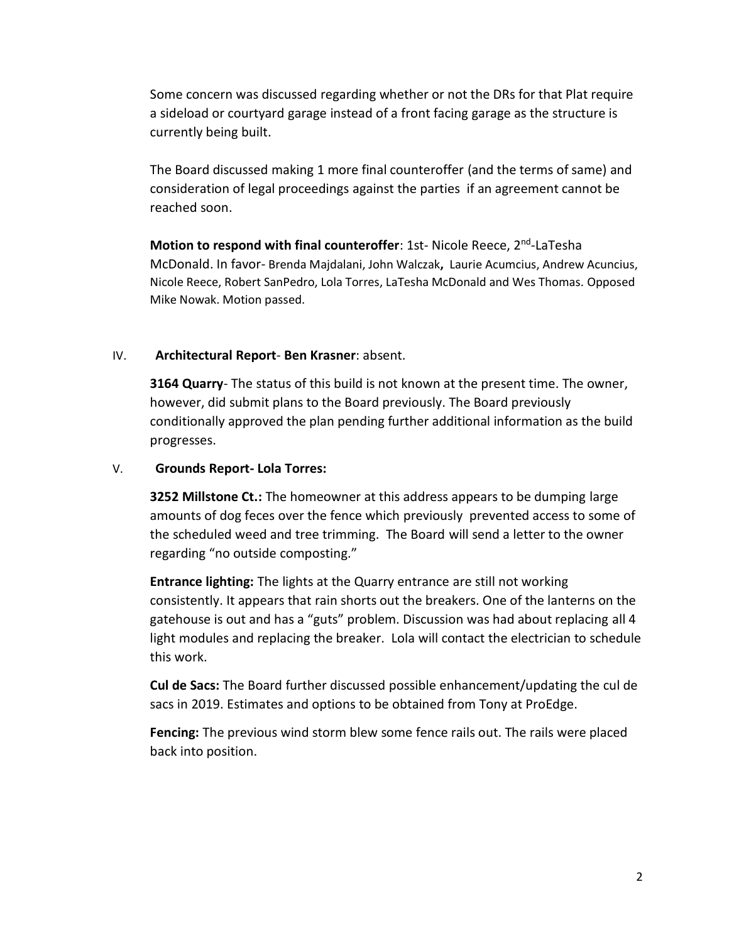Some concern was discussed regarding whether or not the DRs for that Plat require a sideload or courtyard garage instead of a front facing garage as the structure is currently being built.

The Board discussed making 1 more final counteroffer (and the terms of same) and consideration of legal proceedings against the parties if an agreement cannot be reached soon.

Motion to respond with final counteroffer: 1st- Nicole Reece, 2<sup>nd</sup>-LaTesha McDonald. In favor- Brenda Majdalani, John Walczak**,** Laurie Acumcius, Andrew Acuncius, Nicole Reece, Robert SanPedro, Lola Torres, LaTesha McDonald and Wes Thomas. Opposed Mike Nowak. Motion passed.

## IV. **Architectural Report**- **Ben Krasner**: absent.

**3164 Quarry**- The status of this build is not known at the present time. The owner, however, did submit plans to the Board previously. The Board previously conditionally approved the plan pending further additional information as the build progresses.

## V. **Grounds Report- Lola Torres:**

**3252 Millstone Ct.:** The homeowner at this address appears to be dumping large amounts of dog feces over the fence which previously prevented access to some of the scheduled weed and tree trimming. The Board will send a letter to the owner regarding "no outside composting."

**Entrance lighting:** The lights at the Quarry entrance are still not working consistently. It appears that rain shorts out the breakers. One of the lanterns on the gatehouse is out and has a "guts" problem. Discussion was had about replacing all 4 light modules and replacing the breaker. Lola will contact the electrician to schedule this work.

**Cul de Sacs:** The Board further discussed possible enhancement/updating the cul de sacs in 2019. Estimates and options to be obtained from Tony at ProEdge.

**Fencing:** The previous wind storm blew some fence rails out. The rails were placed back into position.